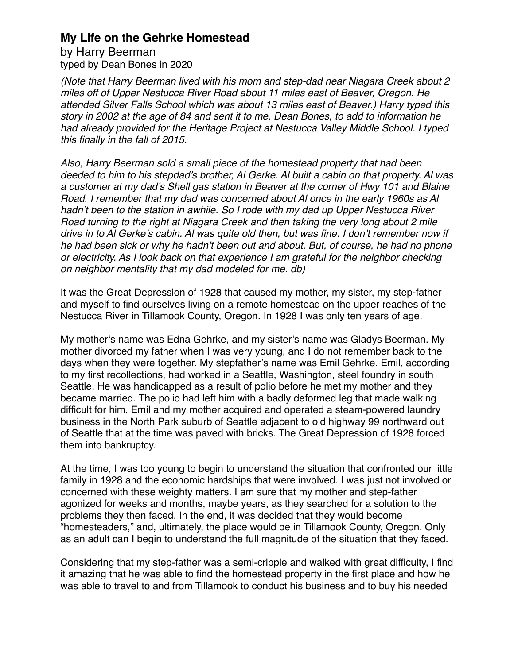by Harry Beerman typed by Dean Bones in 2020

*(Note that Harry Beerman lived with his mom and step-dad near Niagara Creek about 2 miles off of Upper Nestucca River Road about 11 miles east of Beaver, Oregon. He attended Silver Falls School which was about 13 miles east of Beaver.) Harry typed this story in 2002 at the age of 84 and sent it to me, Dean Bones, to add to information he had already provided for the Heritage Project at Nestucca Valley Middle School. I typed this finally in the fall of 2015.*

*Also, Harry Beerman sold a small piece of the homestead property that had been deeded to him to his stepdad's brother, Al Gerke. Al built a cabin on that property. Al was a customer at my dad's Shell gas station in Beaver at the corner of Hwy 101 and Blaine Road. I remember that my dad was concerned about Al once in the early 1960s as Al hadn't been to the station in awhile. So I rode with my dad up Upper Nestucca River Road turning to the right at Niagara Creek and then taking the very long about 2 mile drive in to Al Gerke's cabin. Al was quite old then, but was fine. I don't remember now if he had been sick or why he hadn't been out and about. But, of course, he had no phone or electricity. As I look back on that experience I am grateful for the neighbor checking on neighbor mentality that my dad modeled for me. db)*

It was the Great Depression of 1928 that caused my mother, my sister, my step-father and myself to find ourselves living on a remote homestead on the upper reaches of the Nestucca River in Tillamook County, Oregon. In 1928 I was only ten years of age.

My mother's name was Edna Gehrke, and my sister's name was Gladys Beerman. My mother divorced my father when I was very young, and I do not remember back to the days when they were together. My stepfather's name was Emil Gehrke. Emil, according to my first recollections, had worked in a Seattle, Washington, steel foundry in south Seattle. He was handicapped as a result of polio before he met my mother and they became married. The polio had left him with a badly deformed leg that made walking difficult for him. Emil and my mother acquired and operated a steam-powered laundry business in the North Park suburb of Seattle adjacent to old highway 99 northward out of Seattle that at the time was paved with bricks. The Great Depression of 1928 forced them into bankruptcy.

At the time, I was too young to begin to understand the situation that confronted our little family in 1928 and the economic hardships that were involved. I was just not involved or concerned with these weighty matters. I am sure that my mother and step-father agonized for weeks and months, maybe years, as they searched for a solution to the problems they then faced. In the end, it was decided that they would become "homesteaders," and, ultimately, the place would be in Tillamook County, Oregon. Only as an adult can I begin to understand the full magnitude of the situation that they faced.

Considering that my step-father was a semi-cripple and walked with great difficulty, I find it amazing that he was able to find the homestead property in the first place and how he was able to travel to and from Tillamook to conduct his business and to buy his needed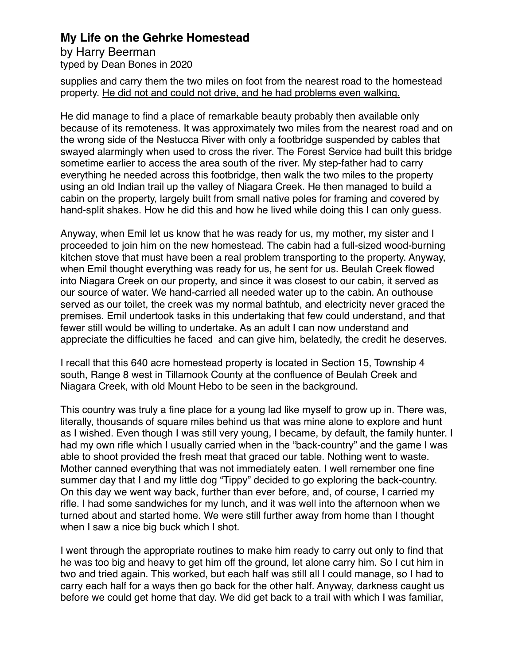by Harry Beerman typed by Dean Bones in 2020

supplies and carry them the two miles on foot from the nearest road to the homestead property. He did not and could not drive, and he had problems even walking.

He did manage to find a place of remarkable beauty probably then available only because of its remoteness. It was approximately two miles from the nearest road and on the wrong side of the Nestucca River with only a footbridge suspended by cables that swayed alarmingly when used to cross the river. The Forest Service had built this bridge sometime earlier to access the area south of the river. My step-father had to carry everything he needed across this footbridge, then walk the two miles to the property using an old Indian trail up the valley of Niagara Creek. He then managed to build a cabin on the property, largely built from small native poles for framing and covered by hand-split shakes. How he did this and how he lived while doing this I can only guess.

Anyway, when Emil let us know that he was ready for us, my mother, my sister and I proceeded to join him on the new homestead. The cabin had a full-sized wood-burning kitchen stove that must have been a real problem transporting to the property. Anyway, when Emil thought everything was ready for us, he sent for us. Beulah Creek flowed into Niagara Creek on our property, and since it was closest to our cabin, it served as our source of water. We hand-carried all needed water up to the cabin. An outhouse served as our toilet, the creek was my normal bathtub, and electricity never graced the premises. Emil undertook tasks in this undertaking that few could understand, and that fewer still would be willing to undertake. As an adult I can now understand and appreciate the difficulties he faced and can give him, belatedly, the credit he deserves.

I recall that this 640 acre homestead property is located in Section 15, Township 4 south, Range 8 west in Tillamook County at the confluence of Beulah Creek and Niagara Creek, with old Mount Hebo to be seen in the background.

This country was truly a fine place for a young lad like myself to grow up in. There was, literally, thousands of square miles behind us that was mine alone to explore and hunt as I wished. Even though I was still very young, I became, by default, the family hunter. I had my own rifle which I usually carried when in the "back-country" and the game I was able to shoot provided the fresh meat that graced our table. Nothing went to waste. Mother canned everything that was not immediately eaten. I well remember one fine summer day that I and my little dog "Tippy" decided to go exploring the back-country. On this day we went way back, further than ever before, and, of course, I carried my rifle. I had some sandwiches for my lunch, and it was well into the afternoon when we turned about and started home. We were still further away from home than I thought when I saw a nice big buck which I shot.

I went through the appropriate routines to make him ready to carry out only to find that he was too big and heavy to get him off the ground, let alone carry him. So I cut him in two and tried again. This worked, but each half was still all I could manage, so I had to carry each half for a ways then go back for the other half. Anyway, darkness caught us before we could get home that day. We did get back to a trail with which I was familiar,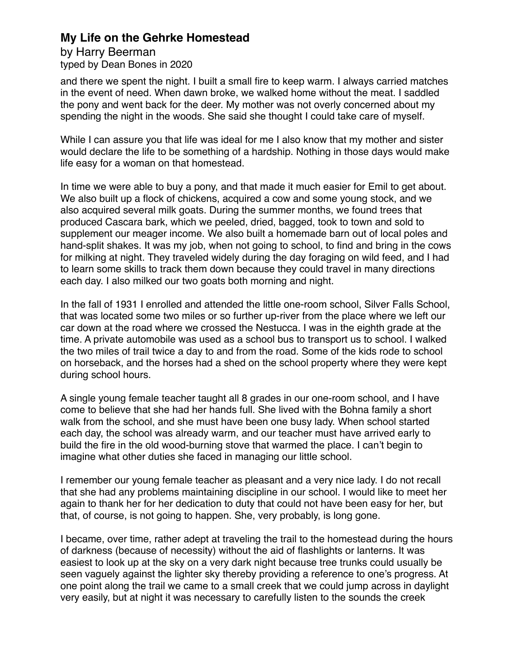by Harry Beerman typed by Dean Bones in 2020

and there we spent the night. I built a small fire to keep warm. I always carried matches in the event of need. When dawn broke, we walked home without the meat. I saddled the pony and went back for the deer. My mother was not overly concerned about my spending the night in the woods. She said she thought I could take care of myself.

While I can assure you that life was ideal for me I also know that my mother and sister would declare the life to be something of a hardship. Nothing in those days would make life easy for a woman on that homestead.

In time we were able to buy a pony, and that made it much easier for Emil to get about. We also built up a flock of chickens, acquired a cow and some young stock, and we also acquired several milk goats. During the summer months, we found trees that produced Cascara bark, which we peeled, dried, bagged, took to town and sold to supplement our meager income. We also built a homemade barn out of local poles and hand-split shakes. It was my job, when not going to school, to find and bring in the cows for milking at night. They traveled widely during the day foraging on wild feed, and I had to learn some skills to track them down because they could travel in many directions each day. I also milked our two goats both morning and night.

In the fall of 1931 I enrolled and attended the little one-room school, Silver Falls School, that was located some two miles or so further up-river from the place where we left our car down at the road where we crossed the Nestucca. I was in the eighth grade at the time. A private automobile was used as a school bus to transport us to school. I walked the two miles of trail twice a day to and from the road. Some of the kids rode to school on horseback, and the horses had a shed on the school property where they were kept during school hours.

A single young female teacher taught all 8 grades in our one-room school, and I have come to believe that she had her hands full. She lived with the Bohna family a short walk from the school, and she must have been one busy lady. When school started each day, the school was already warm, and our teacher must have arrived early to build the fire in the old wood-burning stove that warmed the place. I can't begin to imagine what other duties she faced in managing our little school.

I remember our young female teacher as pleasant and a very nice lady. I do not recall that she had any problems maintaining discipline in our school. I would like to meet her again to thank her for her dedication to duty that could not have been easy for her, but that, of course, is not going to happen. She, very probably, is long gone.

I became, over time, rather adept at traveling the trail to the homestead during the hours of darkness (because of necessity) without the aid of flashlights or lanterns. It was easiest to look up at the sky on a very dark night because tree trunks could usually be seen vaguely against the lighter sky thereby providing a reference to one's progress. At one point along the trail we came to a small creek that we could jump across in daylight very easily, but at night it was necessary to carefully listen to the sounds the creek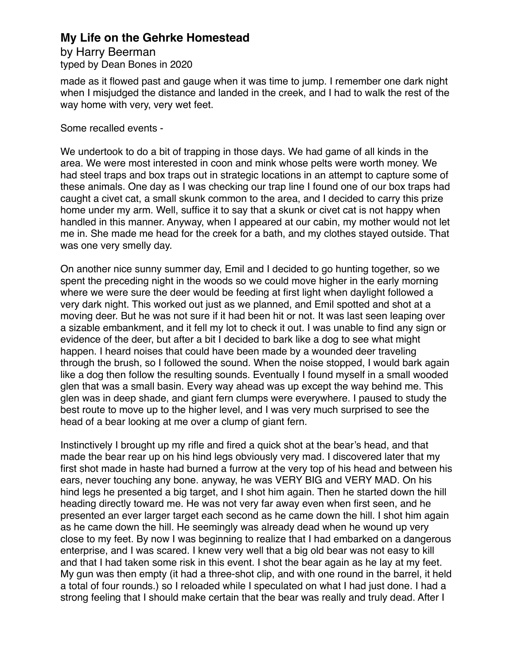by Harry Beerman typed by Dean Bones in 2020

made as it flowed past and gauge when it was time to jump. I remember one dark night when I misjudged the distance and landed in the creek, and I had to walk the rest of the way home with very, very wet feet.

Some recalled events -

We undertook to do a bit of trapping in those days. We had game of all kinds in the area. We were most interested in coon and mink whose pelts were worth money. We had steel traps and box traps out in strategic locations in an attempt to capture some of these animals. One day as I was checking our trap line I found one of our box traps had caught a civet cat, a small skunk common to the area, and I decided to carry this prize home under my arm. Well, suffice it to say that a skunk or civet cat is not happy when handled in this manner. Anyway, when I appeared at our cabin, my mother would not let me in. She made me head for the creek for a bath, and my clothes stayed outside. That was one very smelly day.

On another nice sunny summer day, Emil and I decided to go hunting together, so we spent the preceding night in the woods so we could move higher in the early morning where we were sure the deer would be feeding at first light when daylight followed a very dark night. This worked out just as we planned, and Emil spotted and shot at a moving deer. But he was not sure if it had been hit or not. It was last seen leaping over a sizable embankment, and it fell my lot to check it out. I was unable to find any sign or evidence of the deer, but after a bit I decided to bark like a dog to see what might happen. I heard noises that could have been made by a wounded deer traveling through the brush, so I followed the sound. When the noise stopped, I would bark again like a dog then follow the resulting sounds. Eventually I found myself in a small wooded glen that was a small basin. Every way ahead was up except the way behind me. This glen was in deep shade, and giant fern clumps were everywhere. I paused to study the best route to move up to the higher level, and I was very much surprised to see the head of a bear looking at me over a clump of giant fern.

Instinctively I brought up my rifle and fired a quick shot at the bear's head, and that made the bear rear up on his hind legs obviously very mad. I discovered later that my first shot made in haste had burned a furrow at the very top of his head and between his ears, never touching any bone. anyway, he was VERY BIG and VERY MAD. On his hind legs he presented a big target, and I shot him again. Then he started down the hill heading directly toward me. He was not very far away even when first seen, and he presented an ever larger target each second as he came down the hill. I shot him again as he came down the hill. He seemingly was already dead when he wound up very close to my feet. By now I was beginning to realize that I had embarked on a dangerous enterprise, and I was scared. I knew very well that a big old bear was not easy to kill and that I had taken some risk in this event. I shot the bear again as he lay at my feet. My gun was then empty (it had a three-shot clip, and with one round in the barrel, it held a total of four rounds.) so I reloaded while I speculated on what I had just done. I had a strong feeling that I should make certain that the bear was really and truly dead. After I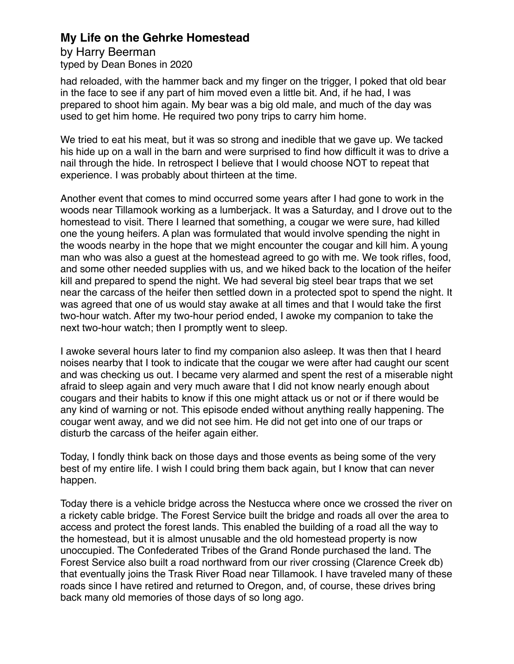by Harry Beerman typed by Dean Bones in 2020

had reloaded, with the hammer back and my finger on the trigger, I poked that old bear in the face to see if any part of him moved even a little bit. And, if he had, I was prepared to shoot him again. My bear was a big old male, and much of the day was used to get him home. He required two pony trips to carry him home.

We tried to eat his meat, but it was so strong and inedible that we gave up. We tacked his hide up on a wall in the barn and were surprised to find how difficult it was to drive a nail through the hide. In retrospect I believe that I would choose NOT to repeat that experience. I was probably about thirteen at the time.

Another event that comes to mind occurred some years after I had gone to work in the woods near Tillamook working as a lumberjack. It was a Saturday, and I drove out to the homestead to visit. There I learned that something, a cougar we were sure, had killed one the young heifers. A plan was formulated that would involve spending the night in the woods nearby in the hope that we might encounter the cougar and kill him. A young man who was also a guest at the homestead agreed to go with me. We took rifles, food, and some other needed supplies with us, and we hiked back to the location of the heifer kill and prepared to spend the night. We had several big steel bear traps that we set near the carcass of the heifer then settled down in a protected spot to spend the night. It was agreed that one of us would stay awake at all times and that I would take the first two-hour watch. After my two-hour period ended, I awoke my companion to take the next two-hour watch; then I promptly went to sleep.

I awoke several hours later to find my companion also asleep. It was then that I heard noises nearby that I took to indicate that the cougar we were after had caught our scent and was checking us out. I became very alarmed and spent the rest of a miserable night afraid to sleep again and very much aware that I did not know nearly enough about cougars and their habits to know if this one might attack us or not or if there would be any kind of warning or not. This episode ended without anything really happening. The cougar went away, and we did not see him. He did not get into one of our traps or disturb the carcass of the heifer again either.

Today, I fondly think back on those days and those events as being some of the very best of my entire life. I wish I could bring them back again, but I know that can never happen.

Today there is a vehicle bridge across the Nestucca where once we crossed the river on a rickety cable bridge. The Forest Service built the bridge and roads all over the area to access and protect the forest lands. This enabled the building of a road all the way to the homestead, but it is almost unusable and the old homestead property is now unoccupied. The Confederated Tribes of the Grand Ronde purchased the land. The Forest Service also built a road northward from our river crossing (Clarence Creek db) that eventually joins the Trask River Road near Tillamook. I have traveled many of these roads since I have retired and returned to Oregon, and, of course, these drives bring back many old memories of those days of so long ago.